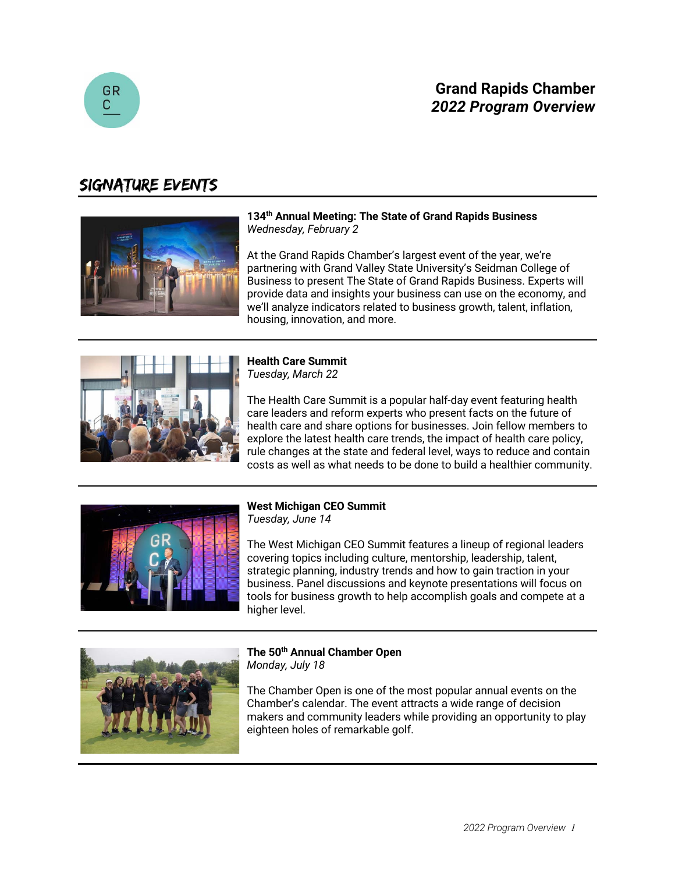



## Signature Events



**134th Annual Meeting: The State of Grand Rapids Business** *Wednesday, February 2*

At the Grand Rapids Chamber's largest event of the year, we're partnering with Grand Valley State University's Seidman College of Business to present The State of Grand Rapids Business. Experts will provide data and insights your business can use on the economy, and we'll analyze indicators related to business growth, talent, inflation, housing, innovation, and more.



**Health Care Summit** *Tuesday, March 22*

The Health Care Summit is a popular half-day event featuring health care leaders and reform experts who present facts on the future of health care and share options for businesses. Join fellow members to explore the latest health care trends, the impact of health care policy, rule changes at the state and federal level, ways to reduce and contain costs as well as what needs to be done to build a healthier community.



**West Michigan CEO Summit**

*Tuesday, June 14*

The West Michigan CEO Summit features a lineup of regional leaders covering topics including culture, mentorship, leadership, talent, strategic planning, industry trends and how to gain traction in your business. Panel discussions and keynote presentations will focus on tools for business growth to help accomplish goals and compete at a higher level.



**The 50th Annual Chamber Open** *Monday, July 18*

The Chamber Open is one of the most popular annual events on the Chamber's calendar. The event attracts a wide range of decision makers and community leaders while providing an opportunity to play eighteen holes of remarkable golf.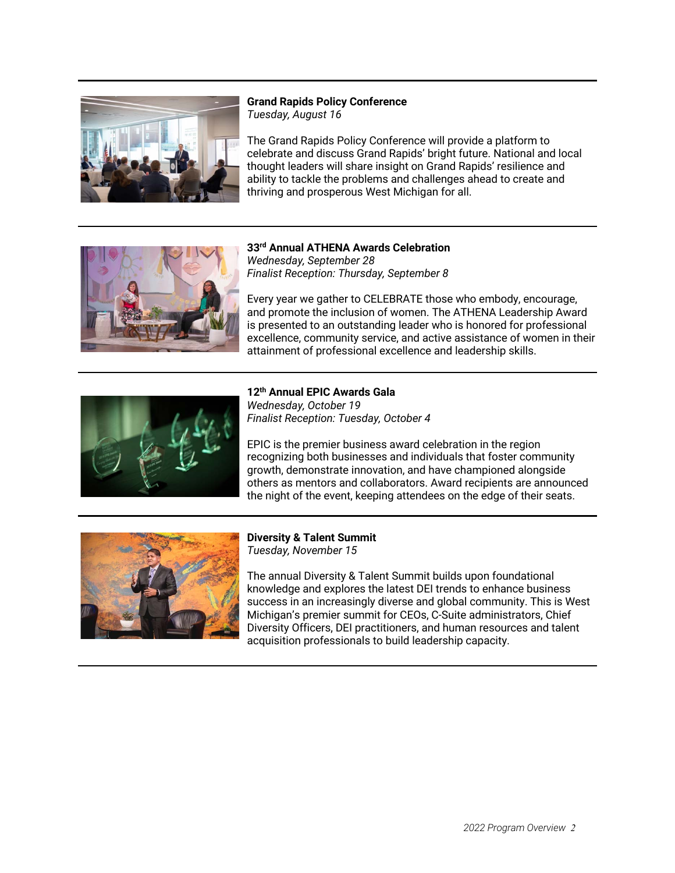

### **Grand Rapids Policy Conference** *Tuesday, August 16*

The Grand Rapids Policy Conference will provide a platform to celebrate and discuss Grand Rapids' bright future. National and local thought leaders will share insight on Grand Rapids' resilience and ability to tackle the problems and challenges ahead to create and thriving and prosperous West Michigan for all.



#### **33rd Annual ATHENA Awards Celebration** *Wednesday, September 28 Finalist Reception: Thursday, September 8*

Every year we gather to CELEBRATE those who embody, encourage, and promote the inclusion of women. The ATHENA Leadership Award is presented to an outstanding leader who is honored for professional excellence, community service, and active assistance of women in their attainment of professional excellence and leadership skills.



#### **12th Annual EPIC Awards Gala** *Wednesday, October 19 Finalist Reception: Tuesday, October 4*

EPIC is the premier business award celebration in the region recognizing both businesses and individuals that foster community growth, demonstrate innovation, and have championed alongside others as mentors and collaborators. Award recipients are announced the night of the event, keeping attendees on the edge of their seats.



### **Diversity & Talent Summit** *Tuesday, November 15*

The annual Diversity & Talent Summit builds upon foundational knowledge and explores the latest DEI trends to enhance business success in an increasingly diverse and global community. This is West Michigan's premier summit for CEOs, C-Suite administrators, Chief Diversity Officers, DEI practitioners, and human resources and talent acquisition professionals to build leadership capacity.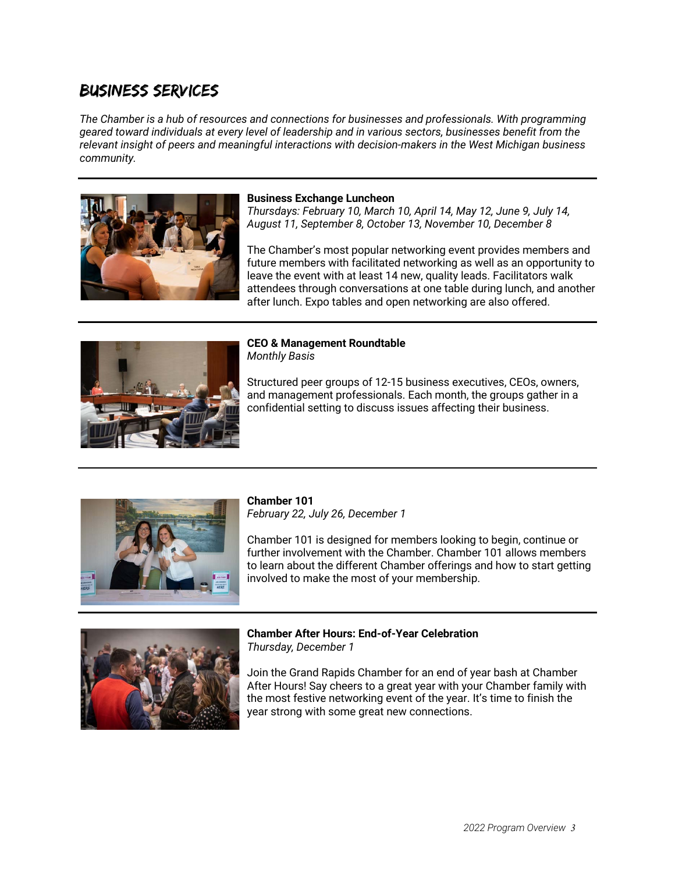## Business Services

*The Chamber is a hub of resources and connections for businesses and professionals. With programming geared toward individuals at every level of leadership and in various sectors, businesses benefit from the relevant insight of peers and meaningful interactions with decision-makers in the West Michigan business community.*



#### **Business Exchange Luncheon**

*Thursdays: February 10, March 10, April 14, May 12, June 9, July 14, August 11, September 8, October 13, November 10, December 8*

The Chamber's most popular networking event provides members and future members with facilitated networking as well as an opportunity to leave the event with at least 14 new, quality leads. Facilitators walk attendees through conversations at one table during lunch, and another after lunch. Expo tables and open networking are also offered.



### **CEO & Management Roundtable** *Monthly Basis*

Structured peer groups of 12-15 business executives, CEOs, owners, and management professionals. Each month, the groups gather in a confidential setting to discuss issues affecting their business.



## **Chamber 101**

*February 22, July 26, December 1*

Chamber 101 is designed for members looking to begin, continue or further involvement with the Chamber. Chamber 101 allows members to learn about the different Chamber offerings and how to start getting involved to make the most of your membership.



**Chamber After Hours: End-of-Year Celebration** *Thursday, December 1*

Join the Grand Rapids Chamber for an end of year bash at Chamber After Hours! Say cheers to a great year with your Chamber family with the most festive networking event of the year. It's time to finish the year strong with some great new connections.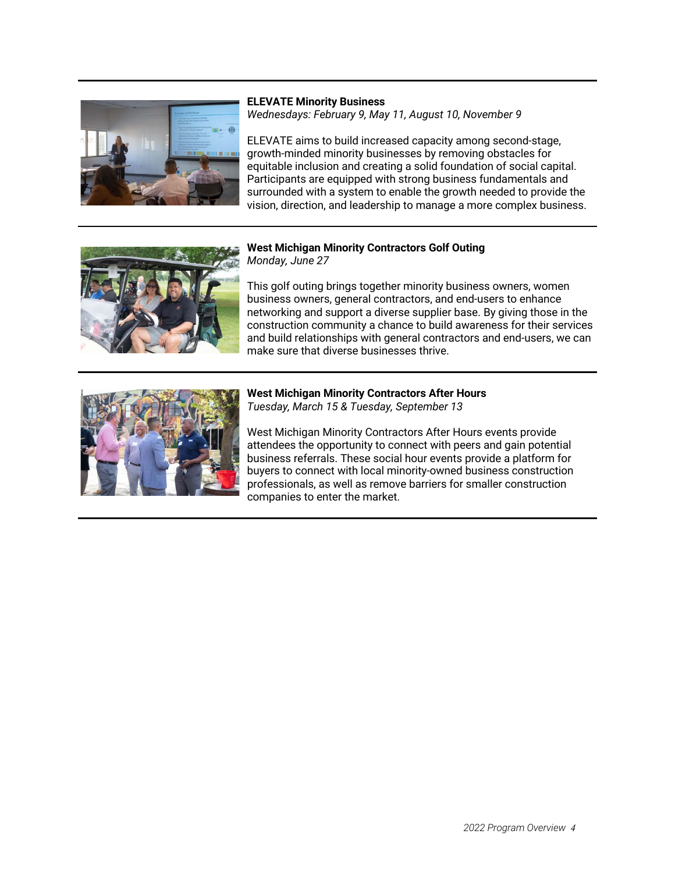

**ELEVATE Minority Business** *Wednesdays: February 9, May 11, August 10, November 9*

ELEVATE aims to build increased capacity among second-stage, growth-minded minority businesses by removing obstacles for equitable inclusion and creating a solid foundation of social capital. Participants are equipped with strong business fundamentals and surrounded with a system to enable the growth needed to provide the vision, direction, and leadership to manage a more complex business.



## **West Michigan Minority Contractors Golf Outing** *Monday, June 27*

This golf outing brings together minority business owners, women business owners, general contractors, and end-users to enhance networking and support a diverse supplier base. By giving those in the construction community a chance to build awareness for their services and build relationships with general contractors and end-users, we can make sure that diverse businesses thrive.



### **West Michigan Minority Contractors After Hours** *Tuesday, March 15 & Tuesday, September 13*

West Michigan Minority Contractors After Hours events provide attendees the opportunity to connect with peers and gain potential business referrals. These social hour events provide a platform for buyers to connect with local minority-owned business construction professionals, as well as remove barriers for smaller construction companies to enter the market.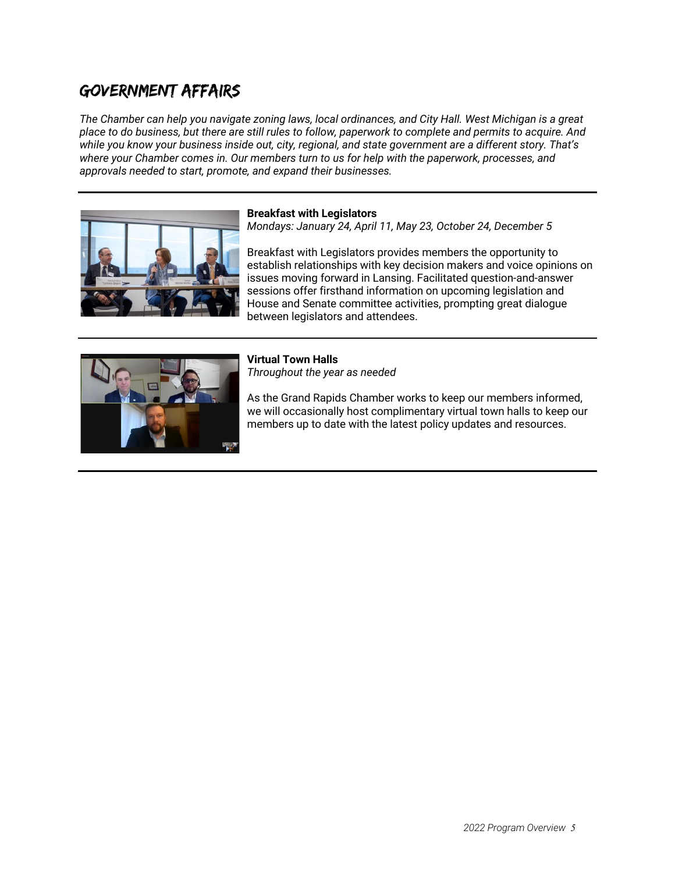# Government Affairs

*The Chamber can help you navigate zoning laws, local ordinances, and City Hall. West Michigan is a great place to do business, but there are still rules to follow, paperwork to complete and permits to acquire. And while you know your business inside out, city, regional, and state government are a different story. That's where your Chamber comes in. Our members turn to us for help with the paperwork, processes, and approvals needed to start, promote, and expand their businesses.*



### **Breakfast with Legislators**

*Mondays: January 24, April 11, May 23, October 24, December 5*

Breakfast with Legislators provides members the opportunity to establish relationships with key decision makers and voice opinions on issues moving forward in Lansing. Facilitated question-and-answer sessions offer firsthand information on upcoming legislation and House and Senate committee activities, prompting great dialogue between legislators and attendees.



## **Virtual Town Halls**

*Throughout the year as needed*

As the Grand Rapids Chamber works to keep our members informed, we will occasionally host complimentary virtual town halls to keep our members up to date with the latest policy updates and resources.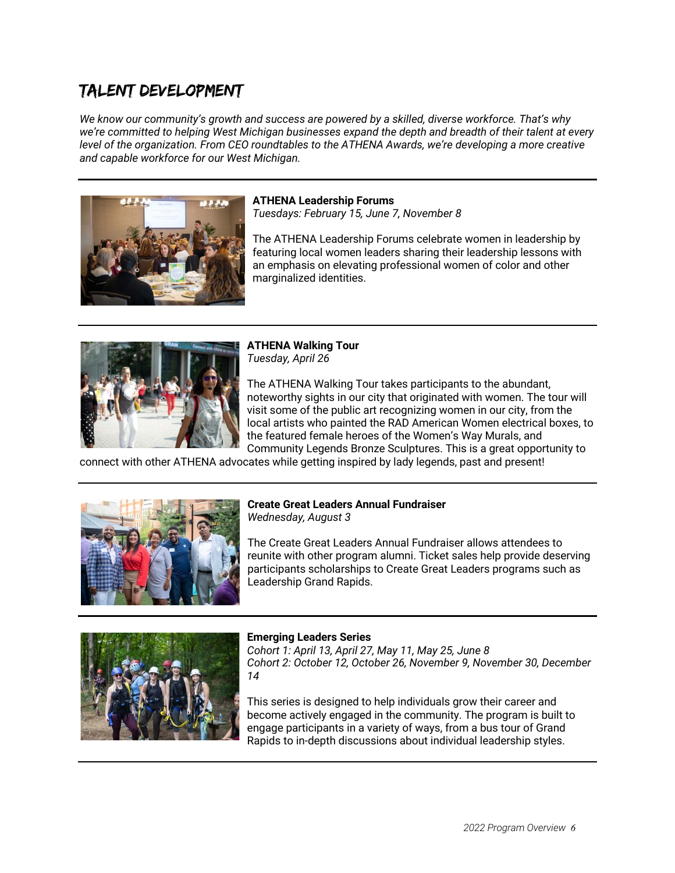# Talent Development

*We know our community's growth and success are powered by a skilled, diverse workforce. That's why we're committed to helping West Michigan businesses expand the depth and breadth of their talent at every level of the organization. From CEO roundtables to the ATHENA Awards, we're developing a more creative and capable workforce for our West Michigan.*



#### **ATHENA Leadership Forums**

*Tuesdays: February 15, June 7, November 8*

The ATHENA Leadership Forums celebrate women in leadership by featuring local women leaders sharing their leadership lessons with an emphasis on elevating professional women of color and other marginalized identities.



**ATHENA Walking Tour** *Tuesday, April 26*

The ATHENA Walking Tour takes participants to the abundant, noteworthy sights in our city that originated with women. The tour will visit some of the public art recognizing women in our city, from the local artists who painted the RAD American Women electrical boxes, to the featured female heroes of the Women's Way Murals, and Community Legends Bronze Sculptures. This is a great opportunity to

connect with other ATHENA advocates while getting inspired by lady legends, past and present!



#### **Create Great Leaders Annual Fundraiser** *Wednesday, August 3*

The Create Great Leaders Annual Fundraiser allows attendees to reunite with other program alumni. Ticket sales help provide deserving participants scholarships to Create Great Leaders programs such as Leadership Grand Rapids.



## **Emerging Leaders Series**

*Cohort 1: April 13, April 27, May 11, May 25, June 8 Cohort 2: October 12, October 26, November 9, November 30, December 14*

This series is designed to help individuals grow their career and become actively engaged in the community. The program is built to engage participants in a variety of ways, from a bus tour of Grand Rapids to in-depth discussions about individual leadership styles.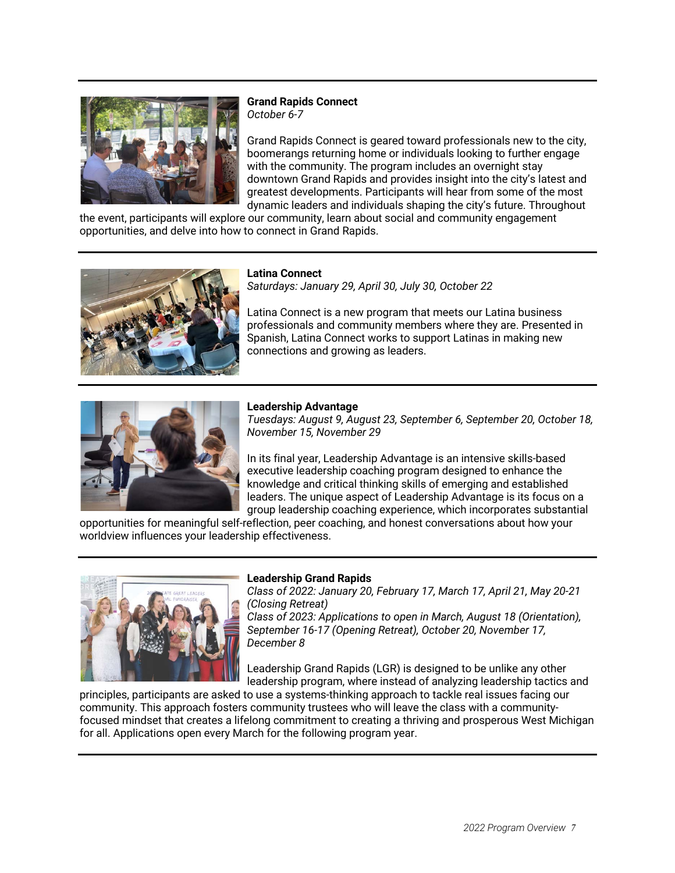

**Grand Rapids Connect** *October 6-7*

Grand Rapids Connect is geared toward professionals new to the city, boomerangs returning home or individuals looking to further engage with the community. The program includes an overnight stay downtown Grand Rapids and provides insight into the city's latest and greatest developments. Participants will hear from some of the most dynamic leaders and individuals shaping the city's future. Throughout

the event, participants will explore our community, learn about social and community engagement opportunities, and delve into how to connect in Grand Rapids.



**Latina Connect**

*Saturdays: January 29, April 30, July 30, October 22*

Latina Connect is a new program that meets our Latina business professionals and community members where they are. Presented in Spanish, Latina Connect works to support Latinas in making new connections and growing as leaders.



## **Leadership Advantage**

*Tuesdays: August 9, August 23, September 6, September 20, October 18, November 15, November 29*

In its final year, Leadership Advantage is an intensive skills-based executive leadership coaching program designed to enhance the knowledge and critical thinking skills of emerging and established leaders. The unique aspect of Leadership Advantage is its focus on a group leadership coaching experience, which incorporates substantial

opportunities for meaningful self-reflection, peer coaching, and honest conversations about how your worldview influences your leadership effectiveness.



### **Leadership Grand Rapids**

*Class of 2022: January 20, February 17, March 17, April 21, May 20-21 (Closing Retreat)*

*Class of 2023: Applications to open in March, August 18 (Orientation), September 16-17 (Opening Retreat), October 20, November 17, December 8*

Leadership Grand Rapids (LGR) is designed to be unlike any other leadership program, where instead of analyzing leadership tactics and

principles, participants are asked to use a systems-thinking approach to tackle real issues facing our community. This approach fosters community trustees who will leave the class with a communityfocused mindset that creates a lifelong commitment to creating a thriving and prosperous West Michigan for all. Applications open every March for the following program year.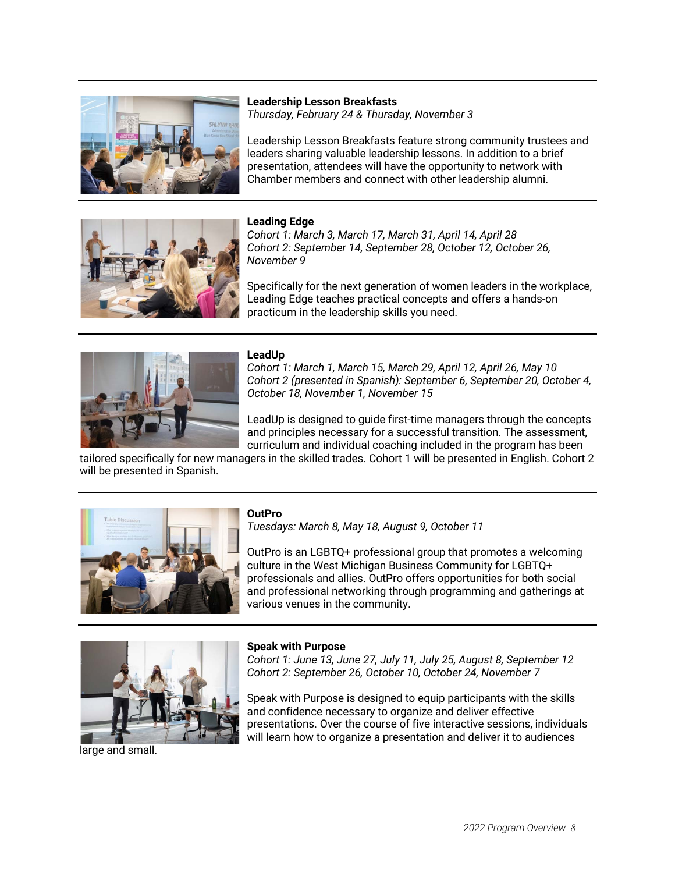

**Leadership Lesson Breakfasts** *Thursday, February 24 & Thursday, November 3*

Leadership Lesson Breakfasts feature strong community trustees and leaders sharing valuable leadership lessons. In addition to a brief presentation, attendees will have the opportunity to network with Chamber members and connect with other leadership alumni.



## **Leading Edge**

*Cohort 1: March 3, March 17, March 31, April 14, April 28 Cohort 2: September 14, September 28, October 12, October 26, November 9*

Specifically for the next generation of women leaders in the workplace, Leading Edge teaches practical concepts and offers a hands-on practicum in the leadership skills you need.



## **LeadUp**

*Cohort 1: March 1, March 15, March 29, April 12, April 26, May 10 Cohort 2 (presented in Spanish): September 6, September 20, October 4, October 18, November 1, November 15*

LeadUp is designed to guide first-time managers through the concepts and principles necessary for a successful transition. The assessment, curriculum and individual coaching included in the program has been

tailored specifically for new managers in the skilled trades. Cohort 1 will be presented in English. Cohort 2 will be presented in Spanish.



## **OutPro**

*Tuesdays: March 8, May 18, August 9, October 11*

OutPro is an LGBTQ+ professional group that promotes a welcoming culture in the West Michigan Business Community for LGBTQ+ professionals and allies. OutPro offers opportunities for both social and professional networking through programming and gatherings at various venues in the community.



**Speak with Purpose**

*Cohort 1: June 13, June 27, July 11, July 25, August 8, September 12 Cohort 2: September 26, October 10, October 24, November 7*

Speak with Purpose is designed to equip participants with the skills and confidence necessary to organize and deliver effective presentations. Over the course of five interactive sessions, individuals will learn how to organize a presentation and deliver it to audiences

large and small.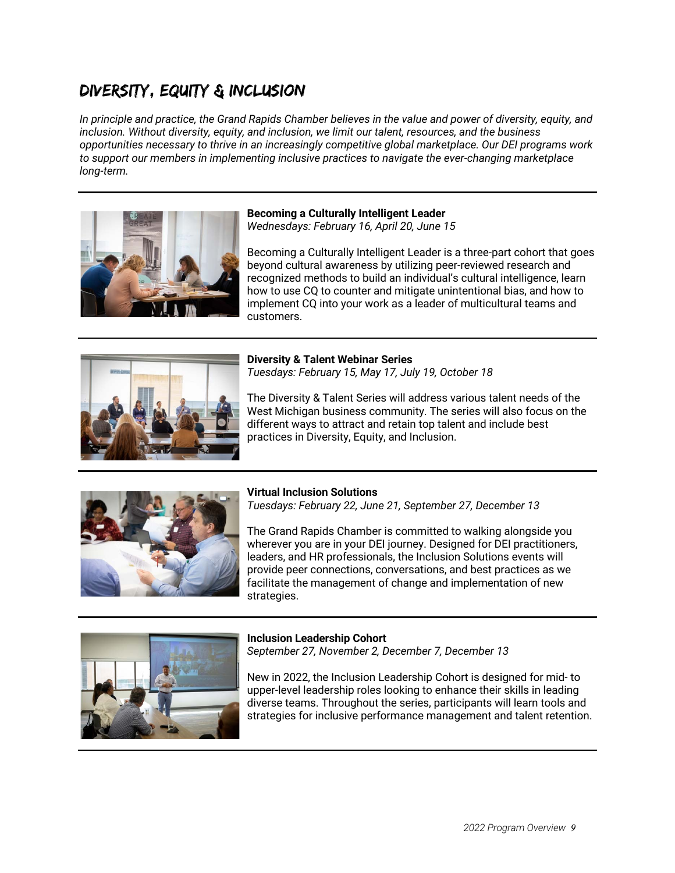## Diversity, Equity & Inclusion

*In principle and practice, the Grand Rapids Chamber believes in the value and power of diversity, equity, and inclusion. Without diversity, equity, and inclusion, we limit our talent, resources, and the business opportunities necessary to thrive in an increasingly competitive global marketplace. Our DEI programs work to support our members in implementing inclusive practices to navigate the ever-changing marketplace long-term.*



## **Becoming a Culturally Intelligent Leader**

*Wednesdays: February 16, April 20, June 15*

Becoming a Culturally Intelligent Leader is a three-part cohort that goes beyond cultural awareness by utilizing peer-reviewed research and recognized methods to build an individual's cultural intelligence, learn how to use CQ to counter and mitigate unintentional bias, and how to implement CQ into your work as a leader of multicultural teams and customers.



**Diversity & Talent Webinar Series** *Tuesdays: February 15, May 17, July 19, October 18*

The Diversity & Talent Series will address various talent needs of the West Michigan business community. The series will also focus on the different ways to attract and retain top talent and include best practices in Diversity, Equity, and Inclusion.



## **Virtual Inclusion Solutions**

*Tuesdays: February 22, June 21, September 27, December 13*

The Grand Rapids Chamber is committed to walking alongside you wherever you are in your DEI journey. Designed for DEI practitioners, leaders, and HR professionals, the Inclusion Solutions events will provide peer connections, conversations, and best practices as we facilitate the management of change and implementation of new strategies.



**Inclusion Leadership Cohort** *September 27, November 2, December 7, December 13*

New in 2022, the Inclusion Leadership Cohort is designed for mid- to upper-level leadership roles looking to enhance their skills in leading diverse teams. Throughout the series, participants will learn tools and strategies for inclusive performance management and talent retention.